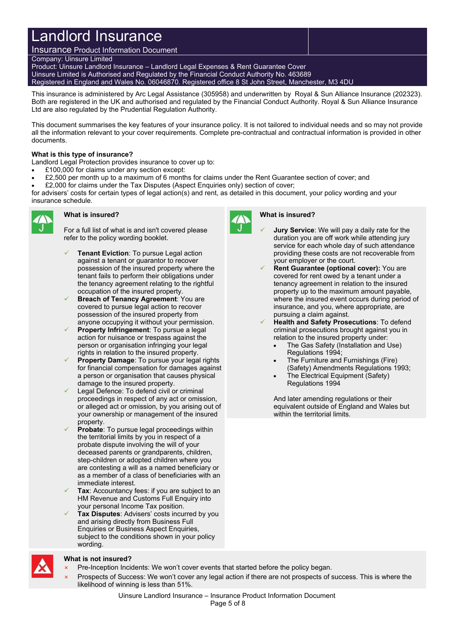# Landlord Insurance

Insurance Product Information Document Company: Uinsure Limited Product: Uinsure Landlord Insurance – Landlord Legal Expenses & Rent Guarantee Cover Uinsure Limited is Authorised and Regulated by the Financial Conduct Authority No. 463689 Registered in England and Wales No. 06046870. Registered office 8 St John Street, Manchester, M3 4DU

This insurance is administered by Arc Legal Assistance (305958) and underwritten by Royal & Sun Alliance Insurance (202323). Both are registered in the UK and authorised and regulated by the Financial Conduct Authority. Royal & Sun Alliance Insurance Ltd are also regulated by the Prudential Regulation Authority.

This document summarises the key features of your insurance policy. It is not tailored to individual needs and so may not provide all the information relevant to your cover requirements. Complete pre-contractual and contractual information is provided in other documents.

### **What is this type of insurance?**

Landlord Legal Protection provides insurance to cover up to:

- £100,000 for claims under any section except:
- £2,500 per month up to a maximum of 6 months for claims under the Rent Guarantee section of cover; and
- £2,000 for claims under the Tax Disputes (Aspect Enquiries only) section of cover;

for advisers' costs for certain types of legal action(s) and rent, as detailed in this document, your policy wording and your insurance schedule.



# **What is insured?**

For a full list of what is and isn't covered please refer to the policy wording booklet.

- **Tenant Eviction**: To pursue Legal action against a tenant or guarantor to recover possession of the insured property where the tenant fails to perform their obligations under the tenancy agreement relating to the rightful occupation of the insured property.
- **Breach of Tenancy Agreement**: You are covered to pursue legal action to recover possession of the insured property from anyone occupying it without your permission.
- **Property Infringement**: To pursue a legal action for nuisance or trespass against the person or organisation infringing your legal rights in relation to the insured property.
- **Property Damage**: To pursue your legal rights for financial compensation for damages against a person or organisation that causes physical damage to the insured property.
- Legal Defence: To defend civil or criminal proceedings in respect of any act or omission, or alleged act or omission, by you arising out of your ownership or management of the insured property.
- **Probate**: To pursue legal proceedings within the territorial limits by you in respect of a probate dispute involving the will of your deceased parents or grandparents, children, step-children or adopted children where you are contesting a will as a named beneficiary or as a member of a class of beneficiaries with an immediate interest.
- **Tax:** Accountancy fees: if you are subject to an HM Revenue and Customs Full Enquiry into your personal Income Tax position.
- **Tax Disputes**: Advisers' costs incurred by you and arising directly from Business Full Enquiries or Business Aspect Enquiries, subject to the conditions shown in your policy wording.



# **What is insured?**

- **Jury Service**: We will pay a daily rate for the duration you are off work while attending jury service for each whole day of such attendance providing these costs are not recoverable from your employer or the court.
- **Rent Guarantee (optional cover):** You are covered for rent owed by a tenant under a tenancy agreement in relation to the insured property up to the maximum amount payable, where the insured event occurs during period of insurance, and you, where appropriate, are pursuing a claim against.
- **Health and Safety Prosecutions**: To defend criminal prosecutions brought against you in relation to the insured property under:
	- The Gas Safety (Installation and Use) Regulations 1994;
	- The Furniture and Furnishings (Fire) (Safety) Amendments Regulations 1993;
	- The Electrical Equipment (Safety) Regulations 1994

And later amending regulations or their equivalent outside of England and Wales but within the territorial limits.

#### **What is not insured?**

- Pre-Inception Incidents: We won't cover events that started before the policy began.
- Prospects of Success: We won't cover any legal action if there are not prospects of success. This is where the likelihood of winning is less than 51%.

#### Uinsure Landlord Insurance – Insurance Product Information Document Page 5 of 8